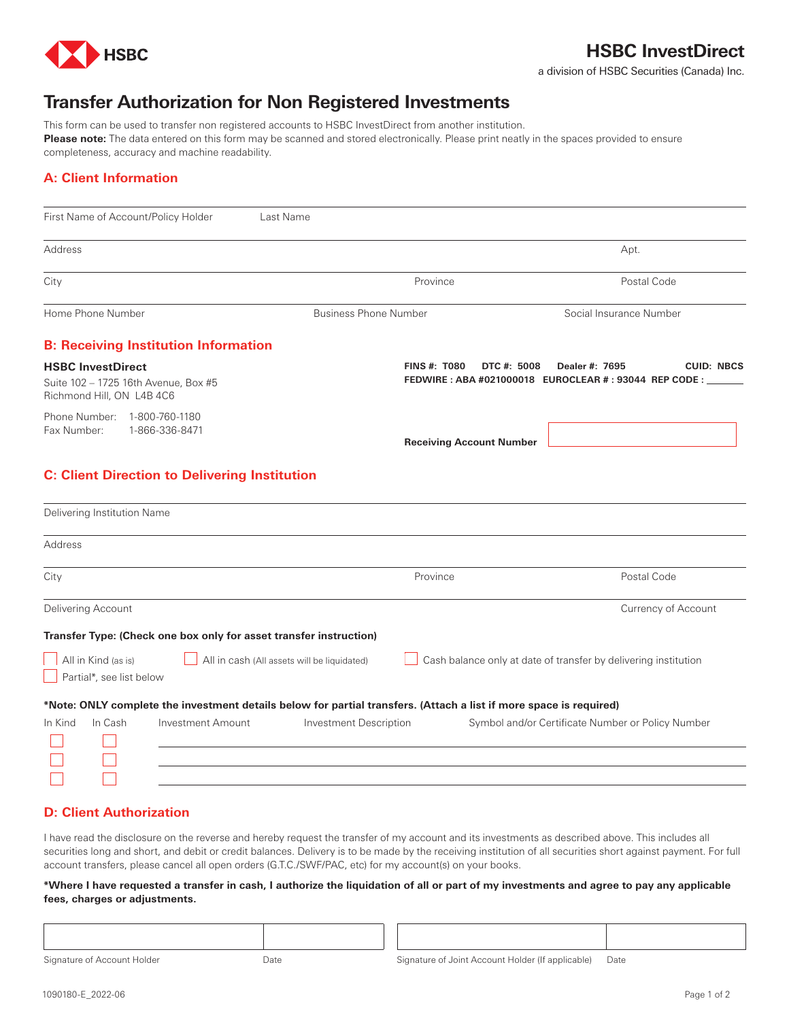

# **HSBC InvestDirect**

a division of HSBC Securities (Canada) Inc.

# **Transfer Authorization for Non Registered Investments**

This form can be used to transfer non registered accounts to HSBC InvestDirect from another institution. Please note: The data entered on this form may be scanned and stored electronically. Please print neatly in the spaces provided to ensure completeness, accuracy and machine readability.

## **A: Client Information**

| First Name of Account/Policy Holder                                                                                | Last Name                                   |                                                                                                            |
|--------------------------------------------------------------------------------------------------------------------|---------------------------------------------|------------------------------------------------------------------------------------------------------------|
| <b>Address</b>                                                                                                     |                                             | Apt.                                                                                                       |
| City                                                                                                               | Province                                    | Postal Code                                                                                                |
| Home Phone Number                                                                                                  | <b>Business Phone Number</b>                | Social Insurance Number                                                                                    |
| <b>B: Receiving Institution Information</b>                                                                        |                                             |                                                                                                            |
| <b>HSBC InvestDirect</b><br>Suite 102 - 1725 16th Avenue, Box #5<br>Richmond Hill, ON L4B 4C6                      | <b>FINS #: T080</b>                         | DTC #: 5008<br><b>CUID: NBCS</b><br>Dealer #: 7695<br>FEDWIRE: ABA #021000018 EUROCLEAR #: 93044 REP CODE: |
| Phone Number: 1-800-760-1180<br>Fax Number:<br>1-866-336-8471                                                      | <b>Receiving Account Number</b>             |                                                                                                            |
| <b>C: Client Direction to Delivering Institution</b>                                                               |                                             |                                                                                                            |
| Delivering Institution Name                                                                                        |                                             |                                                                                                            |
| Address                                                                                                            |                                             |                                                                                                            |
| City                                                                                                               | Province                                    | Postal Code                                                                                                |
| <b>Delivering Account</b>                                                                                          |                                             | <b>Currency of Account</b>                                                                                 |
| Transfer Type: (Check one box only for asset transfer instruction)                                                 |                                             |                                                                                                            |
| All in Kind (as is)<br>Partial*, see list below                                                                    | All in cash (All assets will be liquidated) | Cash balance only at date of transfer by delivering institution                                            |
| *Note: ONLY complete the investment details below for partial transfers. (Attach a list if more space is required) |                                             |                                                                                                            |
| In Cash<br><b>Investment Amount</b><br>In Kind                                                                     | Investment Description                      | Symbol and/or Certificate Number or Policy Number                                                          |

#### **D: Client Authorization**

I have read the disclosure on the reverse and hereby request the transfer of my account and its investments as described above. This includes all securities long and short, and debit or credit balances. Delivery is to be made by the receiving institution of all securities short against payment. For full account transfers, please cancel all open orders (G.T.C./SWF/PAC, etc) for my account(s) on your books.

#### **\*Where I have requested a transfer in cash, I authorize the liquidation of all or part of my investments and agree to pay any applicable fees, charges or adjustments.**

Signature of Account Holder **Date** Date Signature of Joint Account Holder (If applicable) Date